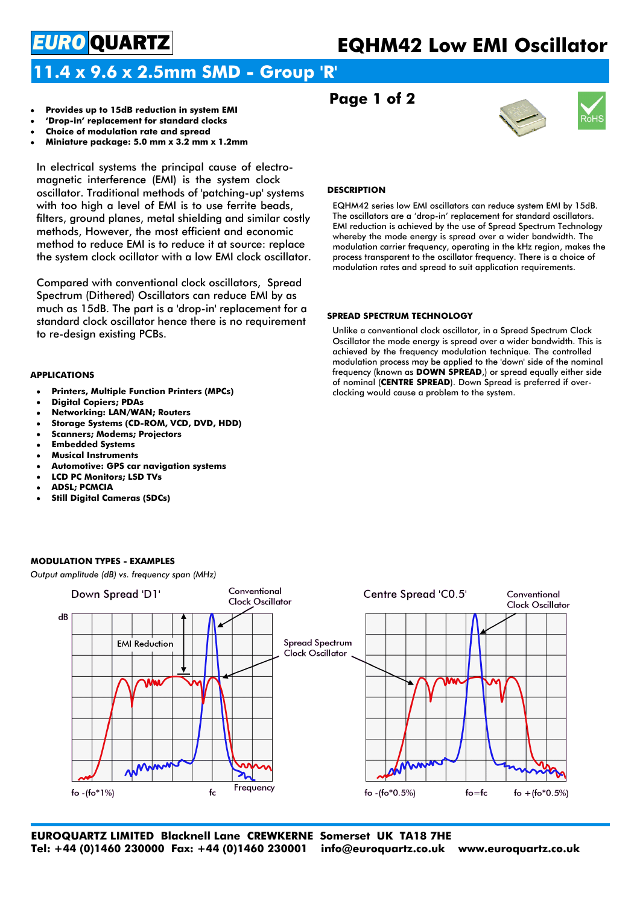# **EQHM42 Low EMI Oscillator**

# **11.4 x 9.6 x 2.5mm SMD - Group 'R'**

- **Provides up to 15dB reduction in system EMI**
- **'Drop-in' replacement for standard clocks**
- **Choice of modulation rate and spread**

*EURO* QUARTZ

 **Miniature package: 5.0 mm x 3.2 mm x 1.2mm**

In electrical systems the principal cause of electromagnetic interference (EMI) is the system clock oscillator. Traditional methods of 'patching-up' systems with too high a level of EMI is to use ferrite beads, filters, ground planes, metal shielding and similar costly methods, However, the most efficient and economic method to reduce EMI is to reduce it at source: replace the system clock ocillator with a low EMI clock oscillator.

Compared with conventional clock oscillators, Spread Spectrum (Dithered) Oscillators can reduce EMI by as much as 15dB. The part is a 'drop-in' replacement for a standard clock oscillator hence there is no requirement to re-design existing PCBs.

### **APPLICATIONS**

- **Printers, Multiple Function Printers (MPCs)**
- **Digital Copiers; PDAs**
- **Networking: LAN/WAN; Routers**
- **Storage Systems (CD-ROM, VCD, DVD, HDD)**
- **Scanners; Modems; Projectors**
- **Embedded Systems**
- **Musical Instruments**
- **Automotive: GPS car navigation systems**
- **LCD PC Monitors; LSD TVs**
- **ADSL; PCMCIA**
- **Still Digital Cameras (SDCs)**

### **DESCRIPTION**

**Page 1 of 2**

EQHM42 series low EMI oscillators can reduce system EMI by 15dB. The oscillators are a 'drop-in' replacement for standard oscillators. EMI reduction is achieved by the use of Spread Spectrum Technology whereby the mode energy is spread over a wider bandwidth. The modulation carrier frequency, operating in the kHz region, makes the process transparent to the oscillator frequency. There is a choice of modulation rates and spread to suit application requirements.

### **SPREAD SPECTRUM TECHNOLOGY**

Unlike a conventional clock oscillator, in a Spread Spectrum Clock Oscillator the mode energy is spread over a wider bandwidth. This is achieved by the frequency modulation technique. The controlled modulation process may be applied to the 'down' side of the nominal frequency (known as **DOWN SPREAD**,) or spread equally either side of nominal (**CENTRE SPREAD**). Down Spread is preferred if overclocking would cause a problem to the system.



**EUROQUARTZ LIMITED Blacknell Lane CREWKERNE Somerset UK TA18 7HE Tel: +44 (0)1460 230000 Fax: +44 (0)1460 230001 info@euroquartz.co.uk www.euroquartz.co.uk**

### **MODULATION TYPES - EXAMPLES**

*Output amplitude (dB) vs. frequency span (MHz)*